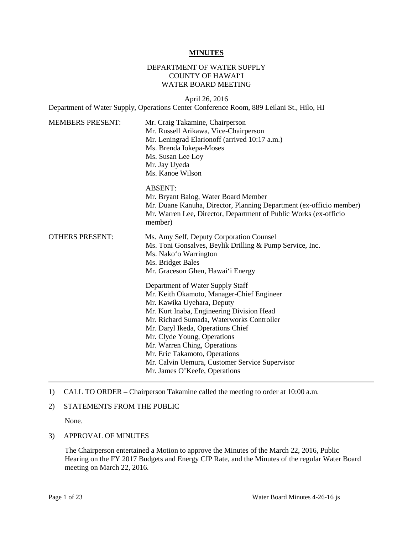#### **MINUTES**

### DEPARTMENT OF WATER SUPPLY COUNTY OF HAWAI'I WATER BOARD MEETING

April 26, 2016 Department of Water Supply, Operations Center Conference Room, 889 Leilani St., Hilo, HI

| <b>MEMBERS PRESENT:</b> | Mr. Craig Takamine, Chairperson<br>Mr. Russell Arikawa, Vice-Chairperson<br>Mr. Leningrad Elarion off (arrived 10:17 a.m.)<br>Ms. Brenda Iokepa-Moses<br>Ms. Susan Lee Loy<br>Mr. Jay Uyeda<br>Ms. Kanoe Wilson                                                                                                                                                                                                               |  |
|-------------------------|-------------------------------------------------------------------------------------------------------------------------------------------------------------------------------------------------------------------------------------------------------------------------------------------------------------------------------------------------------------------------------------------------------------------------------|--|
|                         | <b>ABSENT:</b><br>Mr. Bryant Balog, Water Board Member<br>Mr. Duane Kanuha, Director, Planning Department (ex-officio member)<br>Mr. Warren Lee, Director, Department of Public Works (ex-officio<br>member)                                                                                                                                                                                                                  |  |
| <b>OTHERS PRESENT:</b>  | Ms. Amy Self, Deputy Corporation Counsel<br>Ms. Toni Gonsalves, Beylik Drilling & Pump Service, Inc.<br>Ms. Nako'o Warrington<br>Ms. Bridget Bales<br>Mr. Graceson Ghen, Hawai'i Energy                                                                                                                                                                                                                                       |  |
|                         | Department of Water Supply Staff<br>Mr. Keith Okamoto, Manager-Chief Engineer<br>Mr. Kawika Uyehara, Deputy<br>Mr. Kurt Inaba, Engineering Division Head<br>Mr. Richard Sumada, Waterworks Controller<br>Mr. Daryl Ikeda, Operations Chief<br>Mr. Clyde Young, Operations<br>Mr. Warren Ching, Operations<br>Mr. Eric Takamoto, Operations<br>Mr. Calvin Uemura, Customer Service Supervisor<br>Mr. James O'Keefe, Operations |  |

#### 1) CALL TO ORDER – Chairperson Takamine called the meeting to order at 10:00 a.m.

#### 2) STATEMENTS FROM THE PUBLIC

None.

#### 3) APPROVAL OF MINUTES

 The Chairperson entertained a Motion to approve the Minutes of the March 22, 2016, Public Hearing on the FY 2017 Budgets and Energy CIP Rate, and the Minutes of the regular Water Board meeting on March 22, 2016.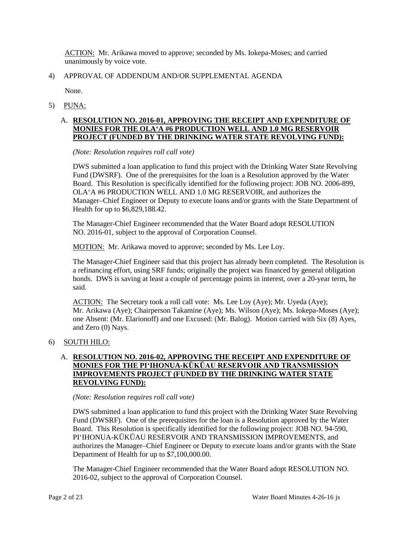ACTION: Mr. Arikawa moved to approve; seconded by Ms. Iokepa-Moses; and carried unanimously by voice vote.

## 4) APPROVAL OF ADDENDUM AND/OR SUPPLEMENTAL AGENDA

None.

5) PUNA:

### A. **RESOLUTION NO. 2016-01, APPROVING THE RECEIPT AND EXPENDITURE OF MONIES FOR THE OLA'A #6 PRODUCTION WELL AND 1.0 MG RESERVOIR PROJECT (FUNDED BY THE DRINKING WATER STATE REVOLVING FUND):**

*(Note: Resolution requires roll call vote)* 

 DWS submitted a loan application to fund this project with the Drinking Water State Revolving Fund (DWSRF). One of the prerequisites for the loan is a Resolution approved by the Water OLA'A #6 PRODUCTION WELL AND 1.0 MG RESERVOIR, and authorizes the Board. This Resolution is specifically identified for the following project: JOB NO. 2006-899, Manager–Chief Engineer or Deputy to execute loans and/or grants with the State Department of Health for up to \$6,829,188.42.

 The Manager-Chief Engineer recommended that the Water Board adopt RESOLUTION NO. 2016-01, subject to the approval of Corporation Counsel.

MOTION: Mr. Arikawa moved to approve; seconded by Ms. Lee Loy.

The Manager-Chief Engineer said that this project has already been completed. The Resolution is a refinancing effort, using SRF funds; originally the project was financed by general obligation bonds. DWS is saving at least a couple of percentage points in interest, over a 20-year term, he said.

ACTION: The Secretary took a roll call vote: Ms. Lee Loy (Aye); Mr. Uyeda (Aye); Mr. Arikawa (Aye); Chairperson Takamine (Aye); Ms. Wilson (Aye); Ms. Iokepa-Moses (Aye); one Absent: (Mr. Elarionoff) and one Excused: (Mr. Balog). Motion carried with Six (8) Ayes, and Zero (0) Nays.

## 6) SOUTH HILO:

### A. **RESOLUTION NO. 2016-02, APPROVING THE RECEIPT AND EXPENDITURE OF MONIES FOR THE PI'IHONUA-KŪKŪAU RESERVOIR AND TRANSMISSION IMPROVEMENTS PROJECT (FUNDED BY THE DRINKING WATER STATE REVOLVING FUND):**

### *(Note: Resolution requires roll call vote)*

 DWS submitted a loan application to fund this project with the Drinking Water State Revolving Fund (DWSRF). One of the prerequisites for the loan is a Resolution approved by the Water Board. This Resolution is specifically identified for the following project: JOB NO. 94-590, PI'IHONUA-KŪKŪAU RESERVOIR AND TRANSMISSION IMPROVEMENTS, and authorizes the Manager–Chief Engineer or Deputy to execute loans and/or grants with the State Department of Health for up to \$7,100,000.00.

 The Manager-Chief Engineer recommended that the Water Board adopt RESOLUTION NO. 2016-02, subject to the approval of Corporation Counsel.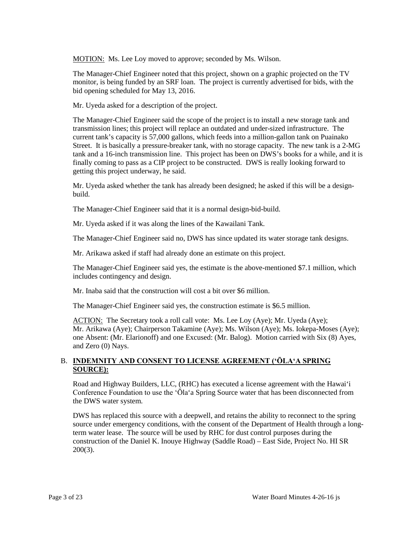MOTION: Ms. Lee Loy moved to approve; seconded by Ms. Wilson.

The Manager-Chief Engineer noted that this project, shown on a graphic projected on the TV monitor, is being funded by an SRF loan. The project is currently advertised for bids, with the bid opening scheduled for May 13, 2016.

Mr. Uyeda asked for a description of the project.

 The Manager-Chief Engineer said the scope of the project is to install a new storage tank and Street. It is basically a pressure-breaker tank, with no storage capacity. The new tank is a 2-MG tank and a 16-inch transmission line. This project has been on DWS's books for a while, and it is finally coming to pass as a CIP project to be constructed. DWS is really looking forward to transmission lines; this project will replace an outdated and under-sized infrastructure. The current tank's capacity is 57,000 gallons, which feeds into a million-gallon tank on Puainako getting this project underway, he said.

 Mr. Uyeda asked whether the tank has already been designed; he asked if this will be a designbuild.

The Manager-Chief Engineer said that it is a normal design-bid-build.

Mr. Uyeda asked if it was along the lines of the Kawailani Tank.

The Manager-Chief Engineer said no, DWS has since updated its water storage tank designs.

Mr. Arikawa asked if staff had already done an estimate on this project.

The Manager-Chief Engineer said yes, the estimate is the above-mentioned \$7.1 million, which includes contingency and design.

Mr. Inaba said that the construction will cost a bit over \$6 million.

The Manager-Chief Engineer said yes, the construction estimate is \$6.5 million.

ACTION: The Secretary took a roll call vote: Ms. Lee Loy (Aye); Mr. Uyeda (Aye); Mr. Arikawa (Aye); Chairperson Takamine (Aye); Ms. Wilson (Aye); Ms. Iokepa-Moses (Aye); one Absent: (Mr. Elarionoff) and one Excused: (Mr. Balog). Motion carried with Six (8) Ayes, and Zero (0) Nays.

### B. **INDEMNITY AND CONSENT TO LICENSE AGREEMENT ('ŌLA'A SPRING SOURCE):**

 Road and Highway Builders, LLC, (RHC) has executed a license agreement with the Hawai'i Conference Foundation to use the 'Ōla'a Spring Source water that has been disconnected from the DWS water system.

 DWS has replaced this source with a deepwell, and retains the ability to reconnect to the spring term water lease. The source will be used by RHC for dust control purposes during the source under emergency conditions, with the consent of the Department of Health through a longconstruction of the Daniel K. Inouye Highway (Saddle Road) – East Side, Project No. HI SR 200(3).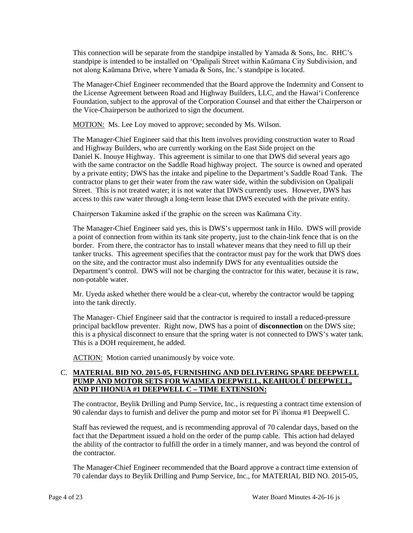standpipe is intended to be installed on 'Opalipali Street within Kaūmana City Subdivision, and This connection will be separate from the standpipe installed by Yamada  $\&$  Sons, Inc. RHC's not along Kaūmana Drive, where Yamada & Sons, Inc.'s standpipe is located.

 Foundation, subject to the approval of the Corporation Counsel and that either the Chairperson or The Manager-Chief Engineer recommended that the Board approve the Indemnity and Consent to the License Agreement between Road and Highway Builders, LLC, and the Hawai'i Conference the Vice-Chairperson be authorized to sign the document.

MOTION: Ms. Lee Loy moved to approve; seconded by Ms. Wilson.

 with the same contractor on the Saddle Road highway project. The source is owned and operated by a private entity; DWS has the intake and pipeline to the Department's Saddle Road Tank. The Street. This is not treated water; it is not water that DWS currently uses. However, DWS has access to this raw water through a long-term lease that DWS executed with the private entity. The Manager-Chief Engineer said that this Item involves providing construction water to Road and Highway Builders, who are currently working on the East Side project on the Daniel K. Inouye Highway. This agreement is similar to one that DWS did several years ago contractor plans to get their water from the raw water side, within the subdivision on Opalipali

Chairperson Takamine asked if the graphic on the screen was Kaūmana City.

 Department's control. DWS will not be charging the contractor for this water, because it is raw, The Manager-Chief Engineer said yes, this is DWS's uppermost tank in Hilo. DWS will provide a point of connection from within its tank site property, just to the chain-link fence that is on the border. From there, the contractor has to install whatever means that they need to fill up their tanker trucks. This agreement specifies that the contractor must pay for the work that DWS does on the site, and the contractor must also indemnify DWS for any eventualities outside the non-potable water.

 Mr. Uyeda asked whether there would be a clear-cut, whereby the contractor would be tapping into the tank directly.

 principal backflow preventer. Right now, DWS has a point of **disconnection** on the DWS site; this is a physical disconnect to ensure that the spring water is not connected to DWS's water tank. This is a DOH requirement, he added. The Manager- Chief Engineer said that the contractor is required to install a reduced-pressure

ACTION: Motion carried unanimously by voice vote.

### C. **MATERIAL BID NO. 2015-05, FURNISHING AND DELIVERING SPARE DEEPWELL PUMP AND MOTOR SETS FOR WAIMEA DEEPWELL, KEAHUOLŪ DEEPWELL, AND PI`IHONUA #1 DEEPWELL C – TIME EXTENSION:**

 90 calendar days to furnish and deliver the pump and motor set for Pi`ihonua #1 Deepwell C. The contractor, Beylik Drilling and Pump Service, Inc., is requesting a contract time extension of

 fact that the Department issued a hold on the order of the pump cable. This action had delayed the ability of the contractor to fulfill the order in a timely manner, and was beyond the control of Staff has reviewed the request, and is recommending approval of 70 calendar days, based on the the contractor.

 The Manager-Chief Engineer recommended that the Board approve a contract time extension of 70 calendar days to Beylik Drilling and Pump Service, Inc., for MATERIAL BID NO. 2015-05,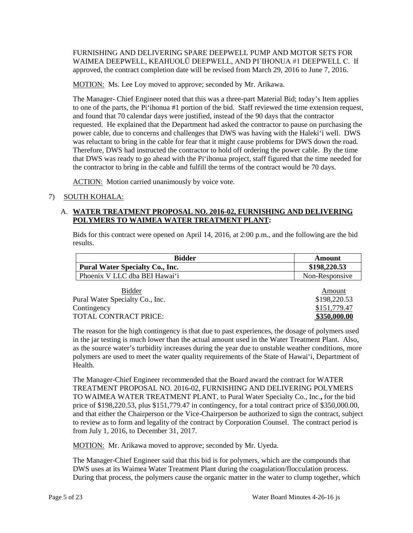WAIMEA DEEPWELL, KEAHUOLŪ DEEPWELL, AND PI`IHONUA #1 DEEPWELL C. If FURNISHING AND DELIVERING SPARE DEEPWELL PUMP AND MOTOR SETS FOR approved, the contract completion date will be revised from March 29, 2016 to June 7, 2016.

MOTION: Ms. Lee Loy moved to approve; seconded by Mr. Arikawa.

 to one of the parts, the Pi'ihonua #1 portion of the bid. Staff reviewed the time extension request, and found that 70 calendar days were justified, instead of the 90 days that the contractor was reluctant to bring in the cable for fear that it might cause problems for DWS down the road. Therefore, DWS had instructed the contractor to hold off ordering the power cable. By the time that DWS was ready to go ahead with the Pi'ihonua project, staff figured that the time needed for the contractor to bring in the cable and fulfill the terms of the contract would be 70 days. The Manager- Chief Engineer noted that this was a three-part Material Bid; today's Item applies requested. He explained that the Department had asked the contractor to pause on purchasing the power cable, due to concerns and challenges that DWS was having with the Haleki'i well. DWS

ACTION: Motion carried unanimously by voice vote.

# 7) SOUTH KOHALA:

### A. **WATER TREATMENT PROPOSAL NO. 2016-02, FURNISHING AND DELIVERING POLYMERS TO WAIMEA WATER TREATMENT PLANT:**

Bids for this contract were opened on April 14, 2016, at 2:00 p.m., and the following are the bid results.

| <b>Bidder</b>                          | Amount         |
|----------------------------------------|----------------|
| <b>Pural Water Specialty Co., Inc.</b> | \$198,220.53   |
| Phoenix V LLC dba BEI Hawai'i          | Non-Responsive |

| <b>Bidder</b>                   | Amount       |
|---------------------------------|--------------|
| Pural Water Specialty Co., Inc. | \$198,220.53 |
| Contingency                     | \$151,779.47 |
| TOTAL CONTRACT PRICE:           | \$350,000.00 |

 The reason for the high contingency is that due to past experiences, the dosage of polymers used in the jar testing is much lower than the actual amount used in the Water Treatment Plant. Also, as the source water's turbidity increases during the year due to unstable weather conditions, more polymers are used to meet the water quality requirements of the State of Hawai'i, Department of Health.

 to review as to form and legality of the contract by Corporation Counsel. The contract period is The Manager-Chief Engineer recommended that the Board award the contract for WATER TREATMENT PROPOSAL NO. 2016-02, FURNISHING AND DELIVERING POLYMERS TO WAIMEA WATER TREATMENT PLANT, to Pural Water Specialty Co., Inc.**,** for the bid price of \$198,220.53, plus \$151,779.47 in contingency, for a total contract price of \$350,000.00, and that either the Chairperson or the Vice-Chairperson be authorized to sign the contract, subject from July 1, 2016, to December 31, 2017.

MOTION: Mr. Arikawa moved to approve; seconded by Mr. Uyeda.

DWS uses at its Waimea Water Treatment Plant during the coagulation/flocculation process. The Manager-Chief Engineer said that this bid is for polymers, which are the compounds that During that process, the polymers cause the organic matter in the water to clump together, which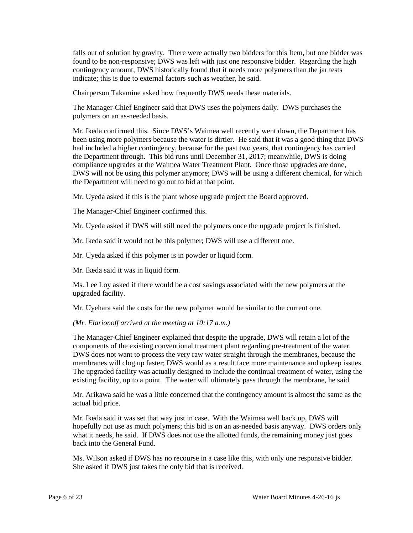found to be non-responsive; DWS was left with just one responsive bidder. Regarding the high contingency amount, DWS historically found that it needs more polymers than the jar tests indicate; this is due to external factors such as weather, he said. falls out of solution by gravity. There were actually two bidders for this Item, but one bidder was

Chairperson Takamine asked how frequently DWS needs these materials.

The Manager-Chief Engineer said that DWS uses the polymers daily. DWS purchases the polymers on an as-needed basis.

Mr. Ikeda confirmed this. Since DWS's Waimea well recently went down, the Department has been using more polymers because the water is dirtier. He said that it was a good thing that DWS had included a higher contingency, because for the past two years, that contingency has carried the Department through. This bid runs until December 31, 2017; meanwhile, DWS is doing compliance upgrades at the Waimea Water Treatment Plant. Once those upgrades are done, DWS will not be using this polymer anymore; DWS will be using a different chemical, for which the Department will need to go out to bid at that point.

Mr. Uyeda asked if this is the plant whose upgrade project the Board approved.

The Manager-Chief Engineer confirmed this.

Mr. Uyeda asked if DWS will still need the polymers once the upgrade project is finished.

Mr. Ikeda said it would not be this polymer; DWS will use a different one.

Mr. Uyeda asked if this polymer is in powder or liquid form.

Mr. Ikeda said it was in liquid form.

Ms. Lee Loy asked if there would be a cost savings associated with the new polymers at the upgraded facility.

Mr. Uyehara said the costs for the new polymer would be similar to the current one.

#### *(Mr. Elarionoff arrived at the meeting at 10:17 a.m.)*

 The Manager-Chief Engineer explained that despite the upgrade, DWS will retain a lot of the components of the existing conventional treatment plant regarding pre-treatment of the water. membranes will clog up faster; DWS would as a result face more maintenance and upkeep issues. The upgraded facility was actually designed to include the continual treatment of water, using the DWS does not want to process the very raw water straight through the membranes, because the existing facility, up to a point. The water will ultimately pass through the membrane, he said.

 Mr. Arikawa said he was a little concerned that the contingency amount is almost the same as the actual bid price.

 Mr. Ikeda said it was set that way just in case. With the Waimea well back up, DWS will hopefully not use as much polymers; this bid is on an as-needed basis anyway. DWS orders only what it needs, he said. If DWS does not use the allotted funds, the remaining money just goes back into the General Fund.

 Ms. Wilson asked if DWS has no recourse in a case like this, with only one responsive bidder. She asked if DWS just takes the only bid that is received.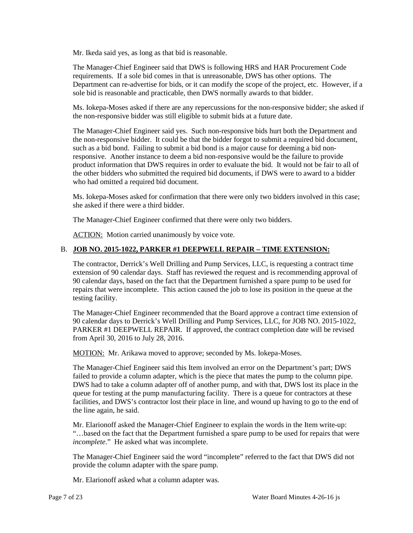Mr. Ikeda said yes, as long as that bid is reasonable.

 The Manager-Chief Engineer said that DWS is following HRS and HAR Procurement Code Department can re-advertise for bids, or it can modify the scope of the project, etc. However, if a sole bid is reasonable and practicable, then DWS normally awards to that bidder. requirements. If a sole bid comes in that is unreasonable, DWS has other options. The

 Ms. Iokepa-Moses asked if there are any repercussions for the non-responsive bidder; she asked if the non-responsive bidder was still eligible to submit bids at a future date.

 product information that DWS requires in order to evaluate the bid. It would not be fair to all of The Manager-Chief Engineer said yes. Such non-responsive bids hurt both the Department and the non-responsive bidder. It could be that the bidder forgot to submit a required bid document, such as a bid bond. Failing to submit a bid bond is a major cause for deeming a bid nonresponsive. Another instance to deem a bid non-responsive would be the failure to provide the other bidders who submitted the required bid documents, if DWS were to award to a bidder who had omitted a required bid document.

 Ms. Iokepa-Moses asked for confirmation that there were only two bidders involved in this case; she asked if there were a third bidder.

The Manager-Chief Engineer confirmed that there were only two bidders.

ACTION: Motion carried unanimously by voice vote.

### B. **JOB NO. 2015-1022, PARKER #1 DEEPWELL REPAIR – TIME EXTENSION:**

 90 calendar days, based on the fact that the Department furnished a spare pump to be used for repairs that were incomplete. This action caused the job to lose its position in the queue at the The contractor, Derrick's Well Drilling and Pump Services, LLC, is requesting a contract time extension of 90 calendar days. Staff has reviewed the request and is recommending approval of testing facility.

 The Manager-Chief Engineer recommended that the Board approve a contract time extension of 90 calendar days to Derrick's Well Drilling and Pump Services, LLC, for JOB NO. 2015-1022, PARKER #1 DEEPWELL REPAIR. If approved, the contract completion date will be revised from April 30, 2016 to July 28, 2016.

MOTION: Mr. Arikawa moved to approve; seconded by Ms. Iokepa-Moses.

 DWS had to take a column adapter off of another pump, and with that, DWS lost its place in the queue for testing at the pump manufacturing facility. There is a queue for contractors at these facilities, and DWS's contractor lost their place in line, and wound up having to go to the end of The Manager-Chief Engineer said this Item involved an error on the Department's part; DWS failed to provide a column adapter, which is the piece that mates the pump to the column pipe. the line again, he said.

 "…based on the fact that the Department furnished a spare pump to be used for repairs that were Mr. Elarionoff asked the Manager-Chief Engineer to explain the words in the Item write-up: *incomplete*." He asked what was incomplete.

 The Manager-Chief Engineer said the word "incomplete" referred to the fact that DWS did not provide the column adapter with the spare pump.

Mr. Elarionoff asked what a column adapter was.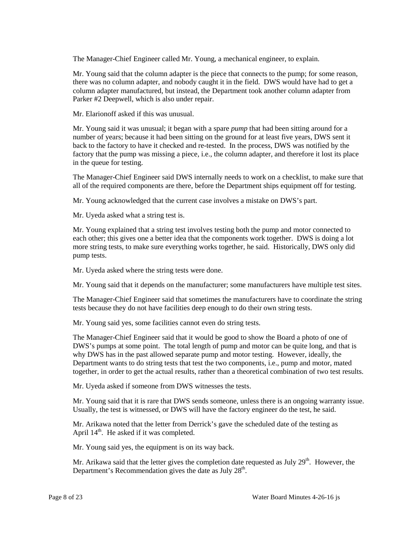The Manager-Chief Engineer called Mr. Young, a mechanical engineer, to explain.

 Mr. Young said that the column adapter is the piece that connects to the pump; for some reason, there was no column adapter, and nobody caught it in the field. DWS would have had to get a column adapter manufactured, but instead, the Department took another column adapter from Parker #2 Deepwell, which is also under repair.

Mr. Elarionoff asked if this was unusual.

 Mr. Young said it was unusual; it began with a spare *pump* that had been sitting around for a number of years; because it had been sitting on the ground for at least five years, DWS sent it factory that the pump was missing a piece, i.e., the column adapter, and therefore it lost its place back to the factory to have it checked and re-tested. In the process, DWS was notified by the in the queue for testing.

 The Manager-Chief Engineer said DWS internally needs to work on a checklist, to make sure that all of the required components are there, before the Department ships equipment off for testing.

Mr. Young acknowledged that the current case involves a mistake on DWS's part.

Mr. Uyeda asked what a string test is.

 each other; this gives one a better idea that the components work together. DWS is doing a lot Mr. Young explained that a string test involves testing both the pump and motor connected to more string tests, to make sure everything works together, he said. Historically, DWS only did pump tests.

Mr. Uyeda asked where the string tests were done.

Mr. Young said that it depends on the manufacturer; some manufacturers have multiple test sites.

The Manager-Chief Engineer said that sometimes the manufacturers have to coordinate the string tests because they do not have facilities deep enough to do their own string tests.

Mr. Young said yes, some facilities cannot even do string tests.

 DWS's pumps at some point. The total length of pump and motor can be quite long, and that is Department wants to do string tests that test the two components, i.e., pump and motor, mated together, in order to get the actual results, rather than a theoretical combination of two test results. The Manager-Chief Engineer said that it would be good to show the Board a photo of one of why DWS has in the past allowed separate pump and motor testing. However, ideally, the

Mr. Uyeda asked if someone from DWS witnesses the tests.

Mr. Young said that it is rare that DWS sends someone, unless there is an ongoing warranty issue. Usually, the test is witnessed, or DWS will have the factory engineer do the test, he said.

Mr. Arikawa noted that the letter from Derrick's gave the scheduled date of the testing as April  $14<sup>th</sup>$ . He asked if it was completed.

Mr. Young said yes, the equipment is on its way back.

Mr. Arikawa said that the letter gives the completion date requested as July  $29<sup>th</sup>$ . However, the Department's Recommendation gives the date as July  $28<sup>th</sup>$ .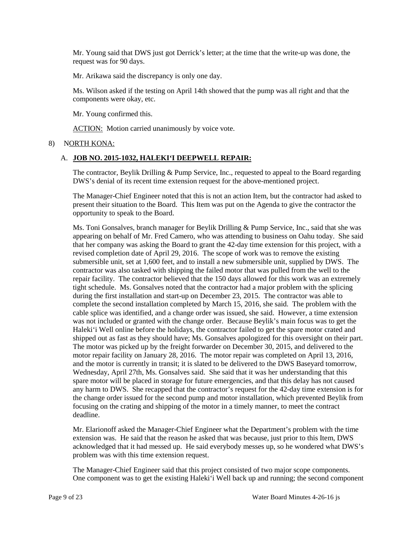Mr. Young said that DWS just got Derrick's letter; at the time that the write-up was done, the request was for 90 days.

Mr. Arikawa said the discrepancy is only one day.

 Ms. Wilson asked if the testing on April 14th showed that the pump was all right and that the components were okay, etc.

Mr. Young confirmed this.

ACTION: Motion carried unanimously by voice vote.

### 8) NORTH KONA:

#### A. **JOB NO. 2015-1032, HALEKI'I DEEPWELL REPAIR:**

 The contractor, Beylik Drilling & Pump Service, Inc., requested to appeal to the Board regarding DWS's denial of its recent time extension request for the above-mentioned project.

 The Manager-Chief Engineer noted that this is not an action Item, but the contractor had asked to present their situation to the Board. This Item was put on the Agenda to give the contractor the opportunity to speak to the Board.

 revised completion date of April 29, 2016. The scope of work was to remove the existing contractor was also tasked with shipping the failed motor that was pulled from the well to the during the first installation and start-up on December 23, 2015. The contractor was able to complete the second installation completed by March 15, 2016, she said. The problem with the Haleki'i Well online before the holidays, the contractor failed to get the spare motor crated and shipped out as fast as they should have; Ms. Gonsalves apologized for this oversight on their part. motor repair facility on January 28, 2016. The motor repair was completed on April 13, 2016, Wednesday, April 27th, Ms. Gonsalves said. She said that it was her understanding that this spare motor will be placed in storage for future emergencies, and that this delay has not caused any harm to DWS. She recapped that the contractor's request for the 42-day time extension is for the change order issued for the second pump and motor installation, which prevented Beylik from focusing on the crating and shipping of the motor in a timely manner, to meet the contract Ms. Toni Gonsalves, branch manager for Beylik Drilling & Pump Service, Inc., said that she was appearing on behalf of Mr. Fred Camero, who was attending to business on Oahu today. She said that her company was asking the Board to grant the 42-day time extension for this project, with a submersible unit, set at 1,600 feet, and to install a new submersible unit, supplied by DWS. The repair facility. The contractor believed that the 150 days allowed for this work was an extremely tight schedule. Ms. Gonsalves noted that the contractor had a major problem with the splicing cable splice was identified, and a change order was issued, she said. However, a time extension was not included or granted with the change order. Because Beylik's main focus was to get the The motor was picked up by the freight forwarder on December 30, 2015, and delivered to the and the motor is currently in transit; it is slated to be delivered to the DWS Baseyard tomorrow, deadline.

 Mr. Elarionoff asked the Manager-Chief Engineer what the Department's problem with the time extension was. He said that the reason he asked that was because, just prior to this Item, DWS acknowledged that it had messed up. He said everybody messes up, so he wondered what DWS's problem was with this time extension request.

The Manager-Chief Engineer said that this project consisted of two major scope components. One component was to get the existing Haleki'i Well back up and running; the second component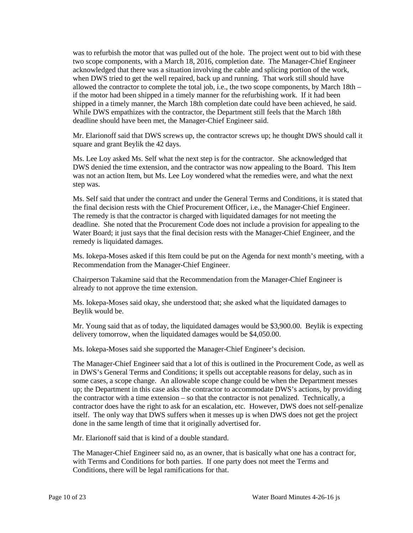was to refurbish the motor that was pulled out of the hole. The project went out to bid with these when DWS tried to get the well repaired, back up and running. That work still should have two scope components, with a March 18, 2016, completion date. The Manager-Chief Engineer acknowledged that there was a situation involving the cable and splicing portion of the work, allowed the contractor to complete the total job, i.e., the two scope components, by March 18th – if the motor had been shipped in a timely manner for the refurbishing work. If it had been shipped in a timely manner, the March 18th completion date could have been achieved, he said. While DWS empathizes with the contractor, the Department still feels that the March 18th deadline should have been met, the Manager-Chief Engineer said.

Mr. Elarionoff said that DWS screws up, the contractor screws up; he thought DWS should call it square and grant Beylik the 42 days.

 Ms. Lee Loy asked Ms. Self what the next step is for the contractor. She acknowledged that was not an action Item, but Ms. Lee Loy wondered what the remedies were, and what the next DWS denied the time extension, and the contractor was now appealing to the Board. This Item step was.

 Ms. Self said that under the contract and under the General Terms and Conditions, it is stated that the final decision rests with the Chief Procurement Officer, i.e., the Manager-Chief Engineer. The remedy is that the contractor is charged with liquidated damages for not meeting the deadline. She noted that the Procurement Code does not include a provision for appealing to the Water Board; it just says that the final decision rests with the Manager-Chief Engineer, and the remedy is liquidated damages.

Ms. Iokepa-Moses asked if this Item could be put on the Agenda for next month's meeting, with a Recommendation from the Manager-Chief Engineer.

Chairperson Takamine said that the Recommendation from the Manager-Chief Engineer is already to not approve the time extension.

 Ms. Iokepa-Moses said okay, she understood that; she asked what the liquidated damages to Beylik would be.

 Mr. Young said that as of today, the liquidated damages would be \$3,900.00. Beylik is expecting delivery tomorrow, when the liquidated damages would be \$4,050.00.

Ms. Iokepa-Moses said she supported the Manager-Chief Engineer's decision.

 The Manager-Chief Engineer said that a lot of this is outlined in the Procurement Code, as well as in DWS's General Terms and Conditions; it spells out acceptable reasons for delay, such as in itself. The only way that DWS suffers when it messes up is when DWS does not get the project some cases, a scope change. An allowable scope change could be when the Department messes up; the Department in this case asks the contractor to accommodate DWS's actions, by providing the contractor with a time extension – so that the contractor is not penalized. Technically, a contractor does have the right to ask for an escalation, etc. However, DWS does not self-penalize done in the same length of time that it originally advertised for.

Mr. Elarionoff said that is kind of a double standard.

The Manager-Chief Engineer said no, as an owner, that is basically what one has a contract for, with Terms and Conditions for both parties. If one party does not meet the Terms and Conditions, there will be legal ramifications for that.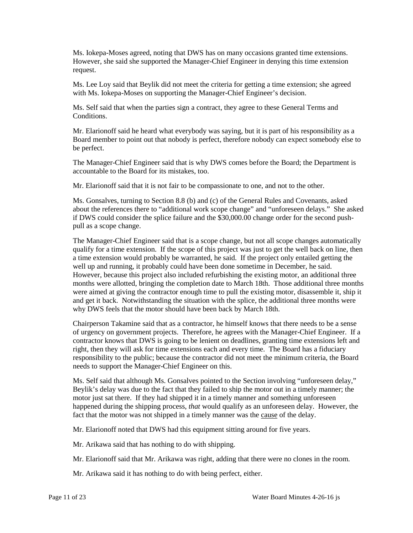Ms. Iokepa-Moses agreed, noting that DWS has on many occasions granted time extensions. However, she said she supported the Manager-Chief Engineer in denying this time extension request.

Ms. Lee Loy said that Beylik did not meet the criteria for getting a time extension; she agreed with Ms. Iokepa-Moses on supporting the Manager-Chief Engineer's decision.

 Ms. Self said that when the parties sign a contract, they agree to these General Terms and Conditions.

Mr. Elarionoff said he heard what everybody was saying, but it is part of his responsibility as a Board member to point out that nobody is perfect, therefore nobody can expect somebody else to be perfect.

The Manager-Chief Engineer said that is why DWS comes before the Board; the Department is accountable to the Board for its mistakes, too.

Mr. Elarionoff said that it is not fair to be compassionate to one, and not to the other.

 about the references there to "additional work scope change" and "unforeseen delays." She asked if DWS could consider the splice failure and the \$30,000.00 change order for the second push-Ms. Gonsalves, turning to Section 8.8 (b) and (c) of the General Rules and Covenants, asked pull as a scope change.

 The Manager-Chief Engineer said that is a scope change, but not all scope changes automatically well up and running, it probably could have been done sometime in December, he said. months were allotted, bringing the completion date to March 18th. Those additional three months why DWS feels that the motor should have been back by March 18th. qualify for a time extension. If the scope of this project was just to get the well back on line, then a time extension would probably be warranted, he said. If the project only entailed getting the However, because this project also included refurbishing the existing motor, an additional three were aimed at giving the contractor enough time to pull the existing motor, disassemble it, ship it and get it back. Notwithstanding the situation with the splice, the additional three months were

Chairperson Takamine said that as a contractor, he himself knows that there needs to be a sense of urgency on government projects. Therefore, he agrees with the Manager-Chief Engineer. If a contractor knows that DWS is going to be lenient on deadlines, granting time extensions left and right, then they will ask for time extensions each and every time. The Board has a fiduciary responsibility to the public; because the contractor did not meet the minimum criteria, the Board needs to support the Manager-Chief Engineer on this.

 Ms. Self said that although Ms. Gonsalves pointed to the Section involving "unforeseen delay," motor just sat there. If they had shipped it in a timely manner and something unforeseen happened during the shipping process, *that* would qualify as an unforeseen delay. However, the fact that the motor was not shipped in a timely manner was the cause of the delay. Beylik's delay was due to the fact that they failed to ship the motor out in a timely manner; the

Mr. Elarionoff noted that DWS had this equipment sitting around for five years.

Mr. Arikawa said that has nothing to do with shipping.

Mr. Elarionoff said that Mr. Arikawa was right, adding that there were no clones in the room.

Mr. Arikawa said it has nothing to do with being perfect, either.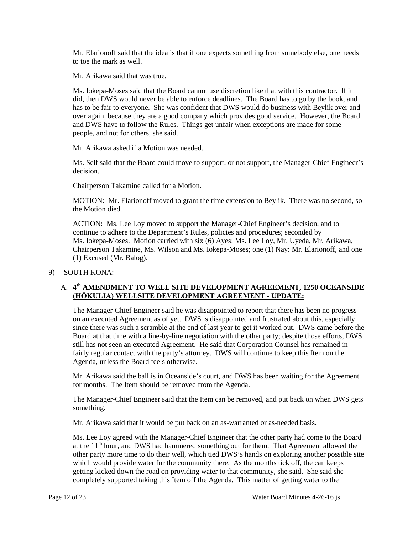to toe the mark as well. Mr. Elarionoff said that the idea is that if one expects something from somebody else, one needs

Mr. Arikawa said that was true.

Ms. Iokepa-Moses said that the Board cannot use discretion like that with this contractor. If it did, then DWS would never be able to enforce deadlines. The Board has to go by the book, and has to be fair to everyone. She was confident that DWS would do business with Beylik over and over again, because they are a good company which provides good service. However, the Board and DWS have to follow the Rules. Things get unfair when exceptions are made for some people, and not for others, she said.

Mr. Arikawa asked if a Motion was needed.

 Ms. Self said that the Board could move to support, or not support, the Manager-Chief Engineer's decision.

Chairperson Takamine called for a Motion.

MOTION: Mr. Elarionoff moved to grant the time extension to Beylik. There was no second, so the Motion died.

 continue to adhere to the Department's Rules, policies and procedures; seconded by Chairperson Takamine, Ms. Wilson and Ms. Iokepa-Moses; one (1) Nay: Mr. Elarionoff, and one ACTION: Ms. Lee Loy moved to support the Manager-Chief Engineer's decision, and to Ms. Iokepa-Moses. Motion carried with six (6) Ayes: Ms. Lee Loy, Mr. Uyeda, Mr. Arikawa, (1) Excused (Mr. Balog).

### 9) SOUTH KONA:

### A. **4th AMENDMENT TO WELL SITE DEVELOPMENT AGREEMENT, 1250 OCEANSIDE (HŌKULIA) WELLSITE DEVELOPMENT AGREEMENT - UPDATE:**

 on an executed Agreement as of yet. DWS is disappointed and frustrated about this, especially since there was such a scramble at the end of last year to get it worked out. DWS came before the The Manager-Chief Engineer said he was disappointed to report that there has been no progress Board at that time with a line-by-line negotiation with the other party; despite those efforts, DWS still has not seen an executed Agreement. He said that Corporation Counsel has remained in fairly regular contact with the party's attorney. DWS will continue to keep this Item on the Agenda, unless the Board feels otherwise.

Mr. Arikawa said the ball is in Oceanside's court, and DWS has been waiting for the Agreement for months. The Item should be removed from the Agenda.

The Manager-Chief Engineer said that the Item can be removed, and put back on when DWS gets something.

Mr. Arikawa said that it would be put back on an as-warranted or as-needed basis.

 which would provide water for the community there. As the months tick off, the can keeps getting kicked down the road on providing water to that community, she said. She said she completely supported taking this Item off the Agenda. This matter of getting water to the Ms. Lee Loy agreed with the Manager-Chief Engineer that the other party had come to the Board at the  $11<sup>th</sup>$  hour, and DWS had hammered something out for them. That Agreement allowed the other party more time to do their well, which tied DWS's hands on exploring another possible site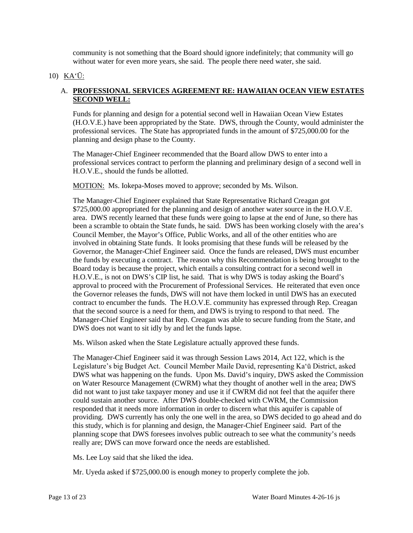community is not something that the Board should ignore indefinitely; that community will go without water for even more years, she said. The people there need water, she said.

# 10) KA'Ū:

## A. **PROFESSIONAL SERVICES AGREEMENT RE: HAWAIIAN OCEAN VIEW ESTATES SECOND WELL:**

Funds for planning and design for a potential second well in Hawaiian Ocean View Estates (H.O.V.E.) have been appropriated by the State. DWS, through the County, would administer the professional services. The State has appropriated funds in the amount of \$725,000.00 for the planning and design phase to the County.

 professional services contract to perform the planning and preliminary design of a second well in H.O.V.E., should the funds be allotted. The Manager-Chief Engineer recommended that the Board allow DWS to enter into a

MOTION: Ms. Iokepa-Moses moved to approve; seconded by Ms. Wilson.

 \$725,000.00 appropriated for the planning and design of another water source in the H.O.V.E. area. DWS recently learned that these funds were going to lapse at the end of June, so there has been a scramble to obtain the State funds, he said. DWS has been working closely with the area's Council Member, the Mayor's Office, Public Works, and all of the other entities who are Governor, the Manager-Chief Engineer said. Once the funds are released, DWS must encumber the funds by executing a contract. The reason why this Recommendation is being brought to the Board today is because the project, which entails a consulting contract for a second well in H.O.V.E., is not on DWS's CIP list, he said. That is why DWS is today asking the Board's contract to encumber the funds. The H.O.V.E. community has expressed through Rep. Creagan that the second source is a need for them, and DWS is trying to respond to that need. The DWS does not want to sit idly by and let the funds lapse. The Manager-Chief Engineer explained that State Representative Richard Creagan got involved in obtaining State funds. It looks promising that these funds will be released by the approval to proceed with the Procurement of Professional Services. He reiterated that even once the Governor releases the funds, DWS will not have them locked in until DWS has an executed Manager-Chief Engineer said that Rep. Creagan was able to secure funding from the State, and

Ms. Wilson asked when the State Legislature actually approved these funds.

 The Manager-Chief Engineer said it was through Session Laws 2014, Act 122, which is the did not want to just take taxpayer money and use it if CWRM did not feel that the aquifer there this study, which is for planning and design, the Manager-Chief Engineer said. Part of the planning scope that DWS foresees involves public outreach to see what the community's needs Legislature's big Budget Act. Council Member Maile David, representing Ka'ū District, asked DWS what was happening on the funds. Upon Ms. David's inquiry, DWS asked the Commission on Water Resource Management (CWRM) what they thought of another well in the area; DWS could sustain another source. After DWS double-checked with CWRM, the Commission responded that it needs more information in order to discern what this aquifer is capable of providing. DWS currently has only the one well in the area, so DWS decided to go ahead and do really are; DWS can move forward once the needs are established.

Ms. Lee Loy said that she liked the idea.

Mr. Uyeda asked if \$725,000.00 is enough money to properly complete the job.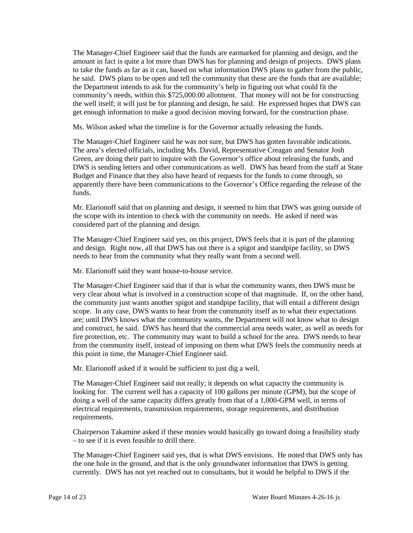amount in fact is quite a lot more than DWS has for planning and design of projects. DWS plans he said. DWS plans to be open and tell the community that these are the funds that are available; The Manager-Chief Engineer said that the funds are earmarked for planning and design, and the to take the funds as far as it can, based on what information DWS plans to gather from the public, the Department intends to ask for the community's help in figuring out what could fit the community's needs, within this \$725,000.00 allotment. That money will not be for constructing the well itself; it will just be for planning and design, he said. He expressed hopes that DWS can get enough information to make a good decision moving forward, for the construction phase.

Ms. Wilson asked what the timeline is for the Governor actually releasing the funds.

 The Manager-Chief Engineer said he was not sure, but DWS has gotten favorable indications. Budget and Finance that they also have heard of requests for the funds to come through, so The area's elected officials, including Ms. David, Representative Creagan and Senator Josh Green, are doing their part to inquire with the Governor's office about releasing the funds, and DWS is sending letters and other communications as well. DWS has heard from the staff at State apparently there have been communications to the Governor's Office regarding the release of the funds.

 considered part of the planning and design. Mr. Elarionoff said that on planning and design, it seemed to him that DWS was going outside of the scope with its intention to check with the community on needs. He asked if need was

 The Manager-Chief Engineer said yes, on this project, DWS feels that it is part of the planning and design. Right now, all that DWS has out there is a spigot and standpipe facility, so DWS needs to hear from the community what they really want from a second well.

Mr. Elarionoff said they want house-to-house service.

 The Manager-Chief Engineer said that if that is what the community wants, then DWS must be very clear about what is involved in a construction scope of that magnitude. If, on the other hand, and construct, he said. DWS has heard that the commercial area needs water, as well as needs for fire protection, etc. The community may want to build a school for the area. DWS needs to hear the community just wants another spigot and standpipe facility, that will entail a different design scope. In any case, DWS wants to hear from the community itself as to what their expectations are; until DWS knows what the community wants, the Department will not know what to design from the community itself, instead of imposing on them what DWS feels the community needs at this point in time, the Manager-Chief Engineer said.

Mr. Elarionoff asked if it would be sufficient to just dig a well.

 The Manager-Chief Engineer said not really; it depends on what capacity the community is looking for. The current well has a capacity of 100 gallons per minute (GPM), but the scope of doing a well of the same capacity differs greatly from that of a 1,000-GPM well, in terms of electrical requirements, transmission requirements, storage requirements, and distribution requirements.

 – to see if it is even feasible to drill there. Chairperson Takamine asked if these monies would basically go toward doing a feasibility study

 the one hole in the ground, and that is the only groundwater information that DWS is getting The Manager-Chief Engineer said yes, that is what DWS envisions. He noted that DWS only has currently. DWS has not yet reached out to consultants, but it would be helpful to DWS if the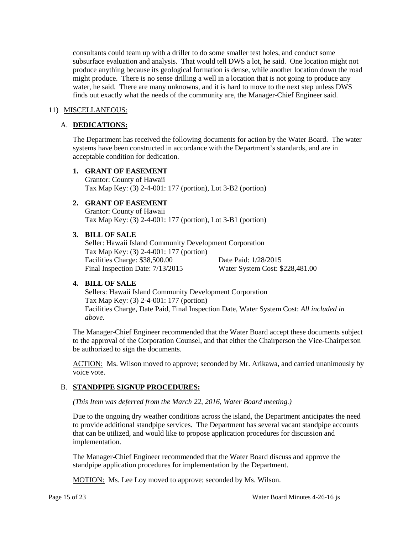subsurface evaluation and analysis. That would tell DWS a lot, he said. One location might not might produce. There is no sense drilling a well in a location that is not going to produce any consultants could team up with a driller to do some smaller test holes, and conduct some produce anything because its geological formation is dense, while another location down the road water, he said. There are many unknowns, and it is hard to move to the next step unless DWS finds out exactly what the needs of the community are, the Manager-Chief Engineer said.

#### 11) MISCELLANEOUS:

#### A. **DEDICATIONS:**

The Department has received the following documents for action by the Water Board. The water systems have been constructed in accordance with the Department's standards, and are in acceptable condition for dedication.

### **1. GRANT OF EASEMENT**

Grantor: County of Hawaii Tax Map Key: (3) 2-4-001: 177 (portion), Lot 3-B2 (portion)

# **2. GRANT OF EASEMENT**

Grantor: County of Hawaii Tax Map Key: (3) 2-4-001: 177 (portion), Lot 3-B1 (portion)

#### **3. BILL OF SALE**

Final Inspection Date: 7/13/2015 Seller: Hawaii Island Community Development Corporation Tax Map Key: (3) 2-4-001: 177 (portion) Facilities Charge: \$38,500.00 Date Paid: 1/28/2015 Water System Cost: \$228,481.00

#### **4. BILL OF SALE**

 Facilities Charge, Date Paid, Final Inspection Date, Water System Cost: *All included in* Sellers: Hawaii Island Community Development Corporation Tax Map Key: (3) 2-4-001: 177 (portion) *above.*

The Manager-Chief Engineer recommended that the Water Board accept these documents subject to the approval of the Corporation Counsel, and that either the Chairperson the Vice-Chairperson be authorized to sign the documents.

ACTION: Ms. Wilson moved to approve; seconded by Mr. Arikawa, and carried unanimously by voice vote.

### B. **STANDPIPE SIGNUP PROCEDURES:**

*(This Item was deferred from the March 22, 2016, Water Board meeting.)* 

 to provide additional standpipe services. The Department has several vacant standpipe accounts Due to the ongoing dry weather conditions across the island, the Department anticipates the need that can be utilized, and would like to propose application procedures for discussion and implementation.

The Manager-Chief Engineer recommended that the Water Board discuss and approve the standpipe application procedures for implementation by the Department.

MOTION: Ms. Lee Loy moved to approve; seconded by Ms. Wilson.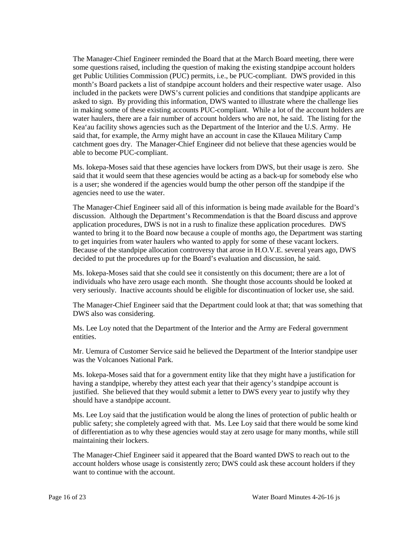included in the packets were DWS's current policies and conditions that standpipe applicants are water haulers, there are a fair number of account holders who are not, he said. The listing for the said that, for example, the Army might have an account in case the Kīlauea Military Camp The Manager-Chief Engineer reminded the Board that at the March Board meeting, there were some questions raised, including the question of making the existing standpipe account holders get Public Utilities Commission (PUC) permits, i.e., be PUC-compliant. DWS provided in this month's Board packets a list of standpipe account holders and their respective water usage. Also asked to sign. By providing this information, DWS wanted to illustrate where the challenge lies in making some of these existing accounts PUC-compliant. While a lot of the account holders are Kea'au facility shows agencies such as the Department of the Interior and the U.S. Army. He catchment goes dry. The Manager-Chief Engineer did not believe that these agencies would be able to become PUC-compliant.

 is a user; she wondered if the agencies would bump the other person off the standpipe if the Ms. Iokepa-Moses said that these agencies have lockers from DWS, but their usage is zero. She said that it would seem that these agencies would be acting as a back-up for somebody else who agencies need to use the water.

 The Manager-Chief Engineer said all of this information is being made available for the Board's application procedures, DWS is not in a rush to finalize these application procedures. DWS to get inquiries from water haulers who wanted to apply for some of these vacant lockers. decided to put the procedures up for the Board's evaluation and discussion, he said. discussion. Although the Department's Recommendation is that the Board discuss and approve wanted to bring it to the Board now because a couple of months ago, the Department was starting Because of the standpipe allocation controversy that arose in H.O.V.E. several years ago, DWS

 very seriously. Inactive accounts should be eligible for discontinuation of locker use, she said. Ms. Iokepa-Moses said that she could see it consistently on this document; there are a lot of individuals who have zero usage each month. She thought those accounts should be looked at

The Manager-Chief Engineer said that the Department could look at that; that was something that DWS also was considering.

 Ms. Lee Loy noted that the Department of the Interior and the Army are Federal government entities.

 Mr. Uemura of Customer Service said he believed the Department of the Interior standpipe user was the Volcanoes National Park.

 Ms. Iokepa-Moses said that for a government entity like that they might have a justification for having a standpipe, whereby they attest each year that their agency's standpipe account is justified. She believed that they would submit a letter to DWS every year to justify why they should have a standpipe account.

 Ms. Lee Loy said that the justification would be along the lines of protection of public health or public safety; she completely agreed with that. Ms. Lee Loy said that there would be some kind of differentiation as to why these agencies would stay at zero usage for many months, while still maintaining their lockers.

 The Manager-Chief Engineer said it appeared that the Board wanted DWS to reach out to the want to continue with the account. account holders whose usage is consistently zero; DWS could ask these account holders if they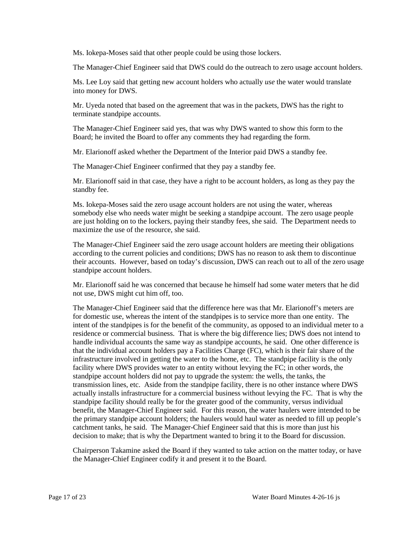Ms. Iokepa-Moses said that other people could be using those lockers.

The Manager-Chief Engineer said that DWS could do the outreach to zero usage account holders.

Ms. Lee Loy said that getting new account holders who actually *use* the water would translate into money for DWS.

 Mr. Uyeda noted that based on the agreement that was in the packets, DWS has the right to terminate standpipe accounts.

 The Manager-Chief Engineer said yes, that was why DWS wanted to show this form to the Board; he invited the Board to offer any comments they had regarding the form.

Mr. Elarionoff asked whether the Department of the Interior paid DWS a standby fee.

The Manager-Chief Engineer confirmed that they pay a standby fee.

 Mr. Elarionoff said in that case, they have a right to be account holders, as long as they pay the standby fee.

 somebody else who needs water might be seeking a standpipe account. The zero usage people maximize the use of the resource, she said. Ms. Iokepa-Moses said the zero usage account holders are not using the water, whereas are just holding on to the lockers, paying their standby fees, she said. The Department needs to

 their accounts. However, based on today's discussion, DWS can reach out to all of the zero usage The Manager-Chief Engineer said the zero usage account holders are meeting their obligations according to the current policies and conditions; DWS has no reason to ask them to discontinue standpipe account holders.

Mr. Elarionoff said he was concerned that because he himself had some water meters that he did not use, DWS might cut him off, too.

 for domestic use, whereas the intent of the standpipes is to service more than one entity. The intent of the standpipes is for the benefit of the community, as opposed to an individual meter to a residence or commercial business. That is where the big difference lies; DWS does not intend to handle individual accounts the same way as standpipe accounts, he said. One other difference is that the individual account holders pay a Facilities Charge (FC), which is their fair share of the facility where DWS provides water to an entity without levying the FC; in other words, the standpipe account holders did not pay to upgrade the system: the wells, the tanks, the actually installs infrastructure for a commercial business without levying the FC. That is why the standpipe facility should really be for the greater good of the community, versus individual benefit, the Manager-Chief Engineer said. For this reason, the water haulers were intended to be catchment tanks, he said. The Manager-Chief Engineer said that this is more than just his The Manager-Chief Engineer said that the difference here was that Mr. Elarionoff's meters are infrastructure involved in getting the water to the home, etc. The standpipe facility is the only transmission lines, etc. Aside from the standpipe facility, there is no other instance where DWS the primary standpipe account holders; the haulers would haul water as needed to fill up people's decision to make; that is why the Department wanted to bring it to the Board for discussion.

 Chairperson Takamine asked the Board if they wanted to take action on the matter today, or have the Manager-Chief Engineer codify it and present it to the Board.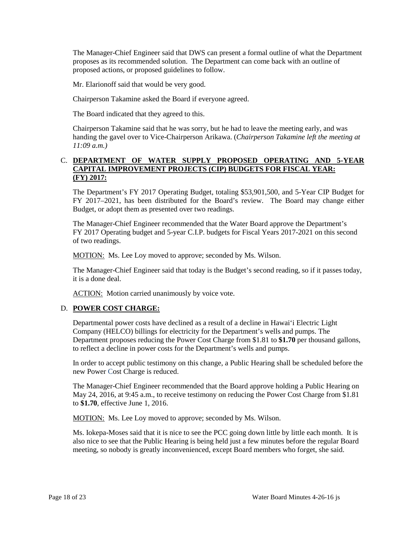The Manager-Chief Engineer said that DWS can present a formal outline of what the Department proposes as its recommended solution. The Department can come back with an outline of proposed actions, or proposed guidelines to follow.

Mr. Elarionoff said that would be very good.

Chairperson Takamine asked the Board if everyone agreed.

The Board indicated that they agreed to this.

 Chairperson Takamine said that he was sorry, but he had to leave the meeting early, and was  handing the gavel over to Vice-Chairperson Arikawa. (*Chairperson Takamine left the meeting at 11:09 a.m.)* 

### C. **DEPARTMENT OF WATER SUPPLY PROPOSED OPERATING AND 5-YEAR CAPITAL IMPROVEMENT PROJECTS (CIP) BUDGETS FOR FISCAL YEAR: (FY) 2017:**

 FY 2017–2021, has been distributed for the Board's review. The Board may change either The Department's FY 2017 Operating Budget, totaling \$53,901,500, and 5-Year CIP Budget for Budget, or adopt them as presented over two readings.

The Manager-Chief Engineer recommended that the Water Board approve the Department's FY 2017 Operating budget and 5-year C.I.P. budgets for Fiscal Years 2017-2021 on this second of two readings.

MOTION: Ms. Lee Loy moved to approve; seconded by Ms. Wilson.

 The Manager-Chief Engineer said that today is the Budget's second reading, so if it passes today, it is a done deal.

ACTION: Motion carried unanimously by voice vote.

## D. **POWER COST CHARGE:**

 to reflect a decline in power costs for the Department's wells and pumps. Departmental power costs have declined as a result of a decline in Hawai'i Electric Light Company (HELCO) billings for electricity for the Department's wells and pumps. The Department proposes reducing the Power Cost Charge from \$1.81 to **\$1.70** per thousand gallons,

 new Power Cost Charge is reduced. In order to accept public testimony on this change, a Public Hearing shall be scheduled before the

The Manager-Chief Engineer recommended that the Board approve holding a Public Hearing on May 24, 2016, at 9:45 a.m., to receive testimony on reducing the Power Cost Charge from \$1.81 to **\$1.70**, effective June 1, 2016.

MOTION: Ms. Lee Loy moved to approve; seconded by Ms. Wilson.

 Ms. Iokepa-Moses said that it is nice to see the PCC going down little by little each month. It is meeting, so nobody is greatly inconvenienced, except Board members who forget, she said.<br>
Page 18 of 23 Water Board Minutes 4-26-16 js also nice to see that the Public Hearing is being held just a few minutes before the regular Board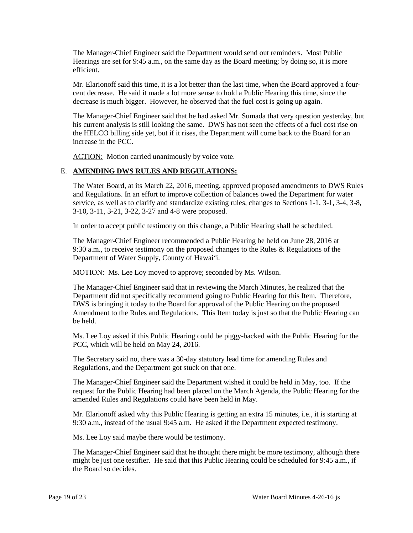The Manager-Chief Engineer said the Department would send out reminders. Most Public Hearings are set for 9:45 a.m., on the same day as the Board meeting; by doing so, it is more efficient.

 Mr. Elarionoff said this time, it is a lot better than the last time, when the Board approved a fourcent decrease. He said it made a lot more sense to hold a Public Hearing this time, since the decrease is much bigger. However, he observed that the fuel cost is going up again.

 his current analysis is still looking the same. DWS has not seen the effects of a fuel cost rise on the HELCO billing side yet, but if it rises, the Department will come back to the Board for an The Manager-Chief Engineer said that he had asked Mr. Sumada that very question yesterday, but increase in the PCC.

ACTION: Motion carried unanimously by voice vote.

### E. **AMENDING DWS RULES AND REGULATIONS:**

 The Water Board, at its March 22, 2016, meeting, approved proposed amendments to DWS Rules and Regulations. In an effort to improve collection of balances owed the Department for water service, as well as to clarify and standardize existing rules, changes to Sections 1-1, 3-1, 3-4, 3-8, 3-10, 3-11, 3-21, 3-22, 3-27 and 4-8 were proposed.

In order to accept public testimony on this change, a Public Hearing shall be scheduled.

 The Manager-Chief Engineer recommended a Public Hearing be held on June 28, 2016 at 9:30 a.m., to receive testimony on the proposed changes to the Rules & Regulations of the Department of Water Supply, County of Hawai'i.

MOTION: Ms. Lee Loy moved to approve; seconded by Ms. Wilson.

 DWS is bringing it today to the Board for approval of the Public Hearing on the proposed Amendment to the Rules and Regulations. This Item today is just so that the Public Hearing can The Manager-Chief Engineer said that in reviewing the March Minutes, he realized that the Department did not specifically recommend going to Public Hearing for this Item. Therefore, be held.

 Ms. Lee Loy asked if this Public Hearing could be piggy-backed with the Public Hearing for the PCC, which will be held on May 24, 2016.

The Secretary said no, there was a 30-day statutory lead time for amending Rules and Regulations, and the Department got stuck on that one.

 request for the Public Hearing had been placed on the March Agenda, the Public Hearing for the The Manager-Chief Engineer said the Department wished it could be held in May, too. If the amended Rules and Regulations could have been held in May.

Mr. Elarionoff asked why this Public Hearing is getting an extra 15 minutes, i.e., it is starting at 9:30 a.m., instead of the usual 9:45 a.m. He asked if the Department expected testimony.

Ms. Lee Loy said maybe there would be testimony.

 The Manager-Chief Engineer said that he thought there might be more testimony, although there might be just one testifier. He said that this Public Hearing could be scheduled for 9:45 a.m., if the Board so decides.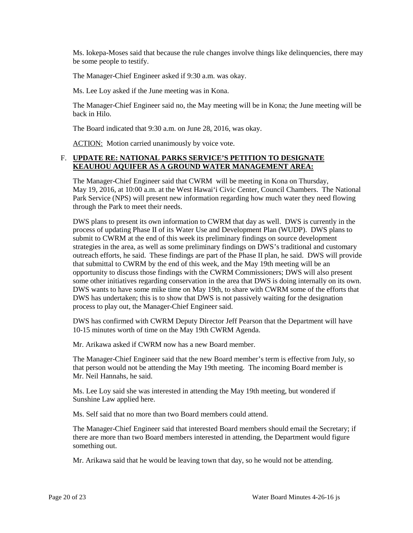Ms. Iokepa-Moses said that because the rule changes involve things like delinquencies, there may be some people to testify.

The Manager-Chief Engineer asked if 9:30 a.m. was okay.

Ms. Lee Loy asked if the June meeting was in Kona.

The Manager-Chief Engineer said no, the May meeting will be in Kona; the June meeting will be back in Hilo.

The Board indicated that 9:30 a.m. on June 28, 2016, was okay.

ACTION: Motion carried unanimously by voice vote.

### F. **UPDATE RE: NATIONAL PARKS SERVICE'S PETITION TO DESIGNATE KEAUHOU AQUIFER AS A GROUND WATER MANAGEMENT AREA:**

 May 19, 2016, at 10:00 a.m. at the West Hawai'i Civic Center, Council Chambers. The National Park Service (NPS) will present new information regarding how much water they need flowing The Manager-Chief Engineer said that CWRM will be meeting in Kona on Thursday, through the Park to meet their needs.

 DWS plans to present its own information to CWRM that day as well. DWS is currently in the outreach efforts, he said. These findings are part of the Phase II plan, he said. DWS will provide that submittal to CWRM by the end of this week, and the May 19th meeting will be an opportunity to discuss those findings with the CWRM Commissioners; DWS will also present DWS wants to have some mike time on May 19th, to share with CWRM some of the efforts that process of updating Phase II of its Water Use and Development Plan (WUDP). DWS plans to submit to CWRM at the end of this week its preliminary findings on source development strategies in the area, as well as some preliminary findings on DWS's traditional and customary some other initiatives regarding conservation in the area that DWS is doing internally on its own. DWS has undertaken; this is to show that DWS is not passively waiting for the designation process to play out, the Manager-Chief Engineer said.

DWS has confirmed with CWRM Deputy Director Jeff Pearson that the Department will have 10-15 minutes worth of time on the May 19th CWRM Agenda.

Mr. Arikawa asked if CWRM now has a new Board member.

 Mr. Neil Hannahs, he said. The Manager-Chief Engineer said that the new Board member's term is effective from July, so that person would not be attending the May 19th meeting. The incoming Board member is

Ms. Lee Loy said she was interested in attending the May 19th meeting, but wondered if Sunshine Law applied here.

Ms. Self said that no more than two Board members could attend.

The Manager-Chief Engineer said that interested Board members should email the Secretary; if there are more than two Board members interested in attending, the Department would figure something out.

Mr. Arikawa said that he would be leaving town that day, so he would not be attending.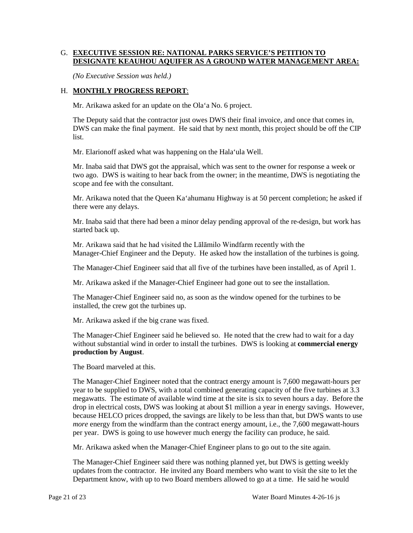### G. **EXECUTIVE SESSION RE: NATIONAL PARKS SERVICE'S PETITION TO DESIGNATE KEAUHOU AQUIFER AS A GROUND WATER MANAGEMENT AREA:**

*(No Executive Session was held.)* 

## H. **MONTHLY PROGRESS REPORT**:

Mr. Arikawa asked for an update on the Ola'a No. 6 project.

 The Deputy said that the contractor just owes DWS their final invoice, and once that comes in, DWS can make the final payment. He said that by next month, this project should be off the CIP list.

Mr. Elarionoff asked what was happening on the Hala'ula Well.

 Mr. Inaba said that DWS got the appraisal, which was sent to the owner for response a week or two ago. DWS is waiting to hear back from the owner; in the meantime, DWS is negotiating the scope and fee with the consultant.

 Mr. Arikawa noted that the Queen Ka'ahumanu Highway is at 50 percent completion; he asked if there were any delays.

Mr. Inaba said that there had been a minor delay pending approval of the re-design, but work has started back up.

 Manager-Chief Engineer and the Deputy. He asked how the installation of the turbines is going. Mr. Arikawa said that he had visited the Lālāmilo Windfarm recently with the

The Manager-Chief Engineer said that all five of the turbines have been installed, as of April 1.

Mr. Arikawa asked if the Manager-Chief Engineer had gone out to see the installation.

 The Manager-Chief Engineer said no, as soon as the window opened for the turbines to be installed, the crew got the turbines up.

Mr. Arikawa asked if the big crane was fixed.

 The Manager-Chief Engineer said he believed so. He noted that the crew had to wait for a day without substantial wind in order to install the turbines. DWS is looking at **commercial energy production by August**.

The Board marveled at this.

 year to be supplied to DWS, with a total combined generating capacity of the five turbines at 3.3 megawatts. The estimate of available wind time at the site is six to seven hours a day. Before the drop in electrical costs, DWS was looking at about \$1 million a year in energy savings. However, *more* energy from the windfarm than the contract energy amount, i.e., the 7,600 megawatt-hours The Manager-Chief Engineer noted that the contract energy amount is 7,600 megawatt-hours per because HELCO prices dropped, the savings are likely to be less than that, but DWS wants to use per year. DWS is going to use however much energy the facility can produce, he said.

Mr. Arikawa asked when the Manager-Chief Engineer plans to go out to the site again.

 updates from the contractor. He invited any Board members who want to visit the site to let the The Manager-Chief Engineer said there was nothing planned yet, but DWS is getting weekly Department know, with up to two Board members allowed to go at a time. He said he would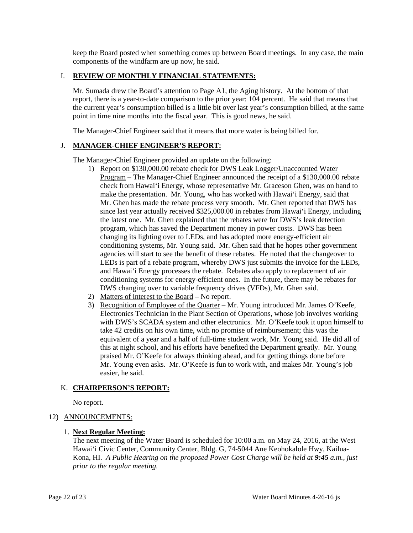components of the windfarm are up now, he said. keep the Board posted when something comes up between Board meetings. In any case, the main

### I. **REVIEW OF MONTHLY FINANCIAL STATEMENTS:**

 Mr. Sumada drew the Board's attention to Page A1, the Aging history. At the bottom of that point in time nine months into the fiscal year. This is good news, he said. report, there is a year-to-date comparison to the prior year: 104 percent. He said that means that the current year's consumption billed is a little bit over last year's consumption billed, at the same

The Manager-Chief Engineer said that it means that more water is being billed for.

### J. **MANAGER-CHIEF ENGINEER'S REPORT:**

The Manager-Chief Engineer provided an update on the following:

- 1) Report on \$130,000.00 rebate check for DWS Leak Logger/Unaccounted Water make the presentation. Mr. Young, who has worked with Hawai'i Energy, said that agencies will start to see the benefit of these rebates. He noted that the changeover to LEDs is part of a rebate program, whereby DWS just submits the invoice for the LEDs, Program – The Manager-Chief Engineer announced the receipt of a \$130,000.00 rebate check from Hawai'i Energy, whose representative Mr. Graceson Ghen, was on hand to Mr. Ghen has made the rebate process very smooth. Mr. Ghen reported that DWS has since last year actually received \$325,000.00 in rebates from Hawai'i Energy, including the latest one. Mr. Ghen explained that the rebates were for DWS's leak detection program, which has saved the Department money in power costs. DWS has been changing its lighting over to LEDs, and has adopted more energy-efficient air conditioning systems, Mr. Young said. Mr. Ghen said that he hopes other government and Hawai'i Energy processes the rebate. Rebates also apply to replacement of air conditioning systems for energy-efficient ones. In the future, there may be rebates for DWS changing over to variable frequency drives (VFDs), Mr. Ghen said.
- 2) Matters of interest to the Board  $-$  No report.
- with DWS's SCADA system and other electronics. Mr. O'Keefe took it upon himself to equivalent of a year and a half of full-time student work, Mr. Young said. He did all of 3) Recognition of Employee of the Quarter – Mr. Young introduced Mr. James O'Keefe, Electronics Technician in the Plant Section of Operations, whose job involves working take 42 credits on his own time, with no promise of reimbursement; this was the this at night school, and his efforts have benefited the Department greatly. Mr. Young praised Mr. O'Keefe for always thinking ahead, and for getting things done before Mr. Young even asks. Mr. O'Keefe is fun to work with, and makes Mr. Young's job easier, he said.

### K. **CHAIRPERSON'S REPORT:**

No report.

## 12) ANNOUNCEMENTS:

### 1. **Next Regular Meeting:**

 The next meeting of the Water Board is scheduled for 10:00 a.m. on May 24, 2016, at the West  Kona, HI. *A Public Hearing on the proposed Power Cost Charge will be held at 9:45 a.m., just*  Hawai'i Civic Center, Community Center, Bldg. G, 74-5044 Ane Keohokalole Hwy, Kailua*prior to the regular meeting.*